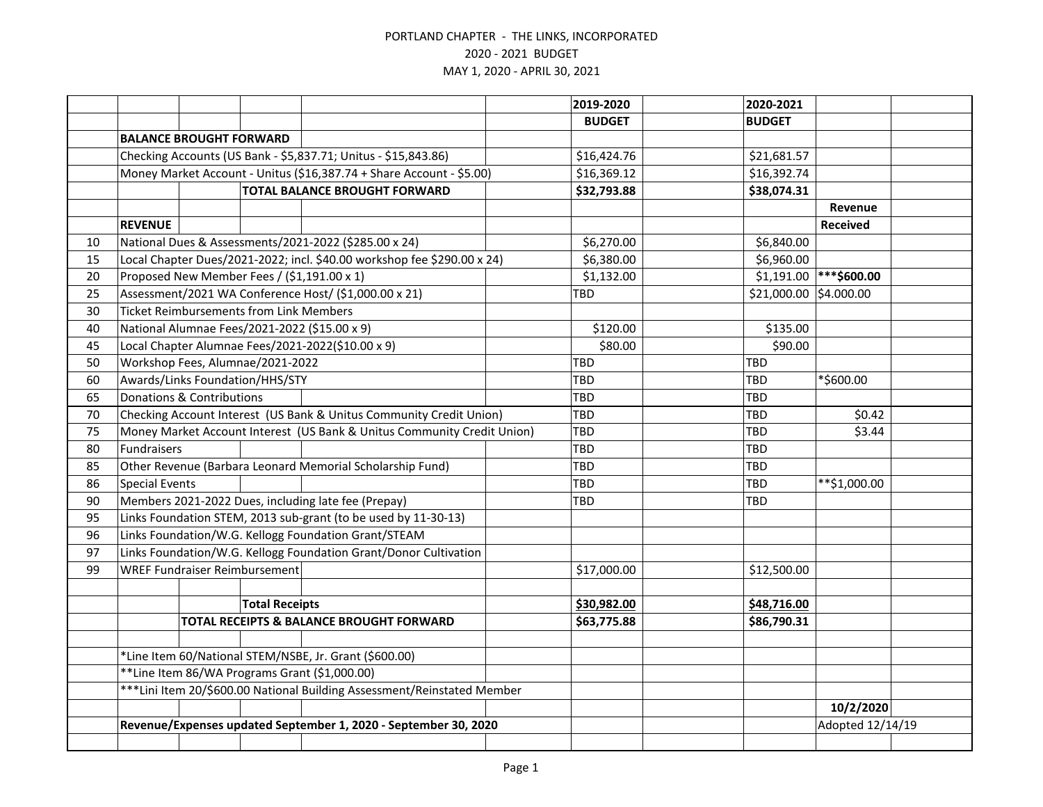|    |                                                                          |                                                |                       |                                                                         |  | 2019-2020     | 2020-2021              |                  |  |
|----|--------------------------------------------------------------------------|------------------------------------------------|-----------------------|-------------------------------------------------------------------------|--|---------------|------------------------|------------------|--|
|    |                                                                          |                                                |                       |                                                                         |  | <b>BUDGET</b> | <b>BUDGET</b>          |                  |  |
|    |                                                                          | <b>BALANCE BROUGHT FORWARD</b>                 |                       |                                                                         |  |               |                        |                  |  |
|    | Checking Accounts (US Bank - \$5,837.71; Unitus - \$15,843.86)           |                                                |                       |                                                                         |  | \$16,424.76   | \$21,681.57            |                  |  |
|    | Money Market Account - Unitus (\$16,387.74 + Share Account - \$5.00)     |                                                |                       |                                                                         |  | \$16,369.12   | \$16,392.74            |                  |  |
|    | <b>TOTAL BALANCE BROUGHT FORWARD</b>                                     |                                                |                       |                                                                         |  | \$32,793.88   | \$38,074.31            |                  |  |
|    |                                                                          |                                                |                       |                                                                         |  |               |                        | Revenue          |  |
|    | <b>REVENUE</b>                                                           |                                                |                       |                                                                         |  |               |                        | <b>Received</b>  |  |
| 10 |                                                                          |                                                |                       | National Dues & Assessments/2021-2022 (\$285.00 x 24)                   |  | \$6,270.00    | \$6,840.00             |                  |  |
| 15 |                                                                          |                                                |                       | Local Chapter Dues/2021-2022; incl. \$40.00 workshop fee \$290.00 x 24) |  | \$6,380.00    | \$6,960.00             |                  |  |
| 20 |                                                                          |                                                |                       | Proposed New Member Fees / (\$1,191.00 x 1)                             |  | \$1,132.00    | \$1,191.00             | ***\$600.00      |  |
| 25 |                                                                          |                                                |                       | Assessment/2021 WA Conference Host/ (\$1,000.00 x 21)                   |  | TBD           | \$21,000.00 \$4.000.00 |                  |  |
| 30 |                                                                          | <b>Ticket Reimbursements from Link Members</b> |                       |                                                                         |  |               |                        |                  |  |
| 40 |                                                                          |                                                |                       | National Alumnae Fees/2021-2022 (\$15.00 x 9)                           |  | \$120.00      | \$135.00               |                  |  |
| 45 |                                                                          |                                                |                       | Local Chapter Alumnae Fees/2021-2022(\$10.00 x 9)                       |  | \$80.00       | \$90.00                |                  |  |
| 50 |                                                                          | Workshop Fees, Alumnae/2021-2022               |                       |                                                                         |  | <b>TBD</b>    | <b>TBD</b>             |                  |  |
| 60 |                                                                          | Awards/Links Foundation/HHS/STY                |                       |                                                                         |  | TBD           | <b>TBD</b>             | *\$600.00        |  |
| 65 | Donations & Contributions                                                |                                                |                       |                                                                         |  | TBD           | <b>TBD</b>             |                  |  |
| 70 | Checking Account Interest (US Bank & Unitus Community Credit Union)      |                                                |                       |                                                                         |  | TBD           | TBD                    | \$0.42           |  |
| 75 | Money Market Account Interest (US Bank & Unitus Community Credit Union)  |                                                |                       |                                                                         |  | TBD           | TBD                    | \$3.44           |  |
| 80 | <b>Fundraisers</b>                                                       |                                                |                       |                                                                         |  | TBD           | <b>TBD</b>             |                  |  |
| 85 |                                                                          |                                                |                       | Other Revenue (Barbara Leonard Memorial Scholarship Fund)               |  | TBD           | <b>TBD</b>             |                  |  |
| 86 | <b>Special Events</b>                                                    |                                                |                       |                                                                         |  | TBD           | TBD                    | **\$1,000.00     |  |
| 90 | Members 2021-2022 Dues, including late fee (Prepay)                      |                                                |                       |                                                                         |  | TBD           | TBD                    |                  |  |
| 95 |                                                                          |                                                |                       | Links Foundation STEM, 2013 sub-grant (to be used by 11-30-13)          |  |               |                        |                  |  |
| 96 |                                                                          |                                                |                       | Links Foundation/W.G. Kellogg Foundation Grant/STEAM                    |  |               |                        |                  |  |
| 97 | Links Foundation/W.G. Kellogg Foundation Grant/Donor Cultivation         |                                                |                       |                                                                         |  |               |                        |                  |  |
| 99 |                                                                          | <b>WREF Fundraiser Reimbursement</b>           |                       |                                                                         |  | \$17,000.00   | \$12,500.00            |                  |  |
|    |                                                                          |                                                |                       |                                                                         |  |               |                        |                  |  |
|    |                                                                          |                                                | <b>Total Receipts</b> |                                                                         |  | \$30,982.00   | \$48,716.00            |                  |  |
|    |                                                                          |                                                |                       | TOTAL RECEIPTS & BALANCE BROUGHT FORWARD                                |  | \$63,775.88   | \$86,790.31            |                  |  |
|    |                                                                          |                                                |                       |                                                                         |  |               |                        |                  |  |
|    | *Line Item 60/National STEM/NSBE, Jr. Grant (\$600.00)                   |                                                |                       |                                                                         |  |               |                        |                  |  |
|    |                                                                          |                                                |                       | **Line Item 86/WA Programs Grant (\$1,000.00)                           |  |               |                        |                  |  |
|    | *** Lini Item 20/\$600.00 National Building Assessment/Reinstated Member |                                                |                       |                                                                         |  |               |                        |                  |  |
|    |                                                                          |                                                |                       |                                                                         |  |               |                        | 10/2/2020        |  |
|    | Revenue/Expenses updated September 1, 2020 - September 30, 2020          |                                                |                       |                                                                         |  |               |                        | Adopted 12/14/19 |  |
|    |                                                                          |                                                |                       |                                                                         |  |               |                        |                  |  |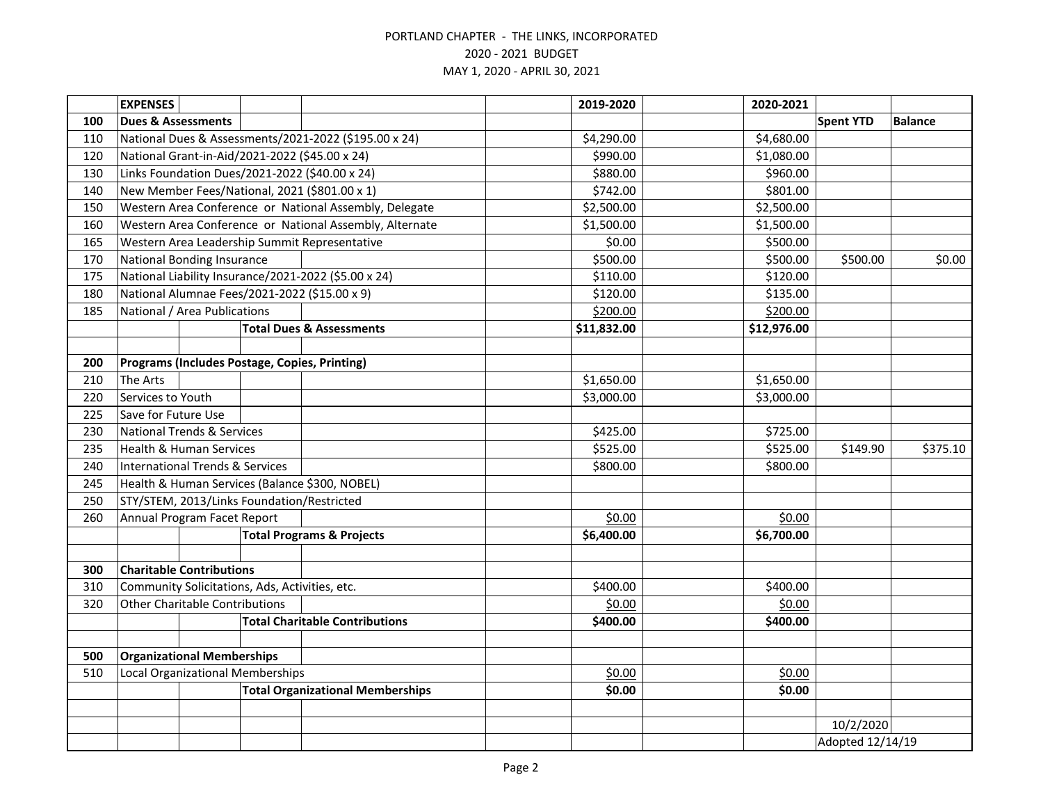|     | <b>EXPENSES</b>                                       |  |                                                         | 2019-2020   | 2020-2021        |                  |                |
|-----|-------------------------------------------------------|--|---------------------------------------------------------|-------------|------------------|------------------|----------------|
| 100 | <b>Dues &amp; Assessments</b>                         |  |                                                         |             |                  | <b>Spent YTD</b> | <b>Balance</b> |
| 110 | National Dues & Assessments/2021-2022 (\$195.00 x 24) |  |                                                         | \$4,290.00  | \$4,680.00       |                  |                |
| 120 | National Grant-in-Aid/2021-2022 (\$45.00 x 24)        |  |                                                         | \$990.00    | \$1,080.00       |                  |                |
| 130 | Links Foundation Dues/2021-2022 (\$40.00 x 24)        |  |                                                         | \$880.00    | \$960.00         |                  |                |
| 140 | New Member Fees/National, 2021 (\$801.00 x 1)         |  |                                                         | \$742.00    | \$801.00         |                  |                |
| 150 |                                                       |  | Western Area Conference or National Assembly, Delegate  | \$2,500.00  | \$2,500.00       |                  |                |
| 160 |                                                       |  | Western Area Conference or National Assembly, Alternate | \$1,500.00  | \$1,500.00       |                  |                |
| 165 | Western Area Leadership Summit Representative         |  |                                                         | \$0.00      | \$500.00         |                  |                |
| 170 | National Bonding Insurance                            |  |                                                         | \$500.00    | \$500.00         | \$500.00         | \$0.00         |
| 175 | National Liability Insurance/2021-2022 (\$5.00 x 24)  |  |                                                         | \$110.00    | \$120.00         |                  |                |
| 180 | National Alumnae Fees/2021-2022 (\$15.00 x 9)         |  |                                                         | \$120.00    | \$135.00         |                  |                |
| 185 | National / Area Publications                          |  |                                                         | \$200.00    | \$200.00         |                  |                |
|     |                                                       |  | <b>Total Dues &amp; Assessments</b>                     | \$11,832.00 | \$12,976.00      |                  |                |
|     |                                                       |  |                                                         |             |                  |                  |                |
| 200 | Programs (Includes Postage, Copies, Printing)         |  |                                                         |             |                  |                  |                |
| 210 | The Arts                                              |  |                                                         | \$1,650.00  | \$1,650.00       |                  |                |
| 220 | Services to Youth                                     |  |                                                         | \$3,000.00  | \$3,000.00       |                  |                |
| 225 | Save for Future Use                                   |  |                                                         |             |                  |                  |                |
| 230 | <b>National Trends &amp; Services</b>                 |  |                                                         | \$425.00    | \$725.00         |                  |                |
| 235 | <b>Health &amp; Human Services</b>                    |  |                                                         | \$525.00    | \$525.00         | \$149.90         | \$375.10       |
| 240 | <b>International Trends &amp; Services</b>            |  |                                                         | \$800.00    | \$800.00         |                  |                |
| 245 | Health & Human Services (Balance \$300, NOBEL)        |  |                                                         |             |                  |                  |                |
| 250 | STY/STEM, 2013/Links Foundation/Restricted            |  |                                                         |             |                  |                  |                |
| 260 | Annual Program Facet Report                           |  |                                                         | \$0.00      | \$0.00           |                  |                |
|     | <b>Total Programs &amp; Projects</b>                  |  | \$6,400.00                                              | \$6,700.00  |                  |                  |                |
|     |                                                       |  |                                                         |             |                  |                  |                |
| 300 | <b>Charitable Contributions</b>                       |  |                                                         |             |                  |                  |                |
| 310 | Community Solicitations, Ads, Activities, etc.        |  |                                                         | \$400.00    | \$400.00         |                  |                |
| 320 | <b>Other Charitable Contributions</b>                 |  |                                                         | \$0.00      | \$0.00           |                  |                |
|     |                                                       |  | <b>Total Charitable Contributions</b>                   | \$400.00    | \$400.00         |                  |                |
|     |                                                       |  |                                                         |             |                  |                  |                |
| 500 | <b>Organizational Memberships</b>                     |  |                                                         |             |                  |                  |                |
| 510 | Local Organizational Memberships                      |  |                                                         | \$0.00      | \$0.00           |                  |                |
|     | <b>Total Organizational Memberships</b>               |  | \$0.00                                                  | \$0.00      |                  |                  |                |
|     |                                                       |  |                                                         |             |                  |                  |                |
|     |                                                       |  |                                                         |             |                  | 10/2/2020        |                |
|     |                                                       |  |                                                         |             | Adopted 12/14/19 |                  |                |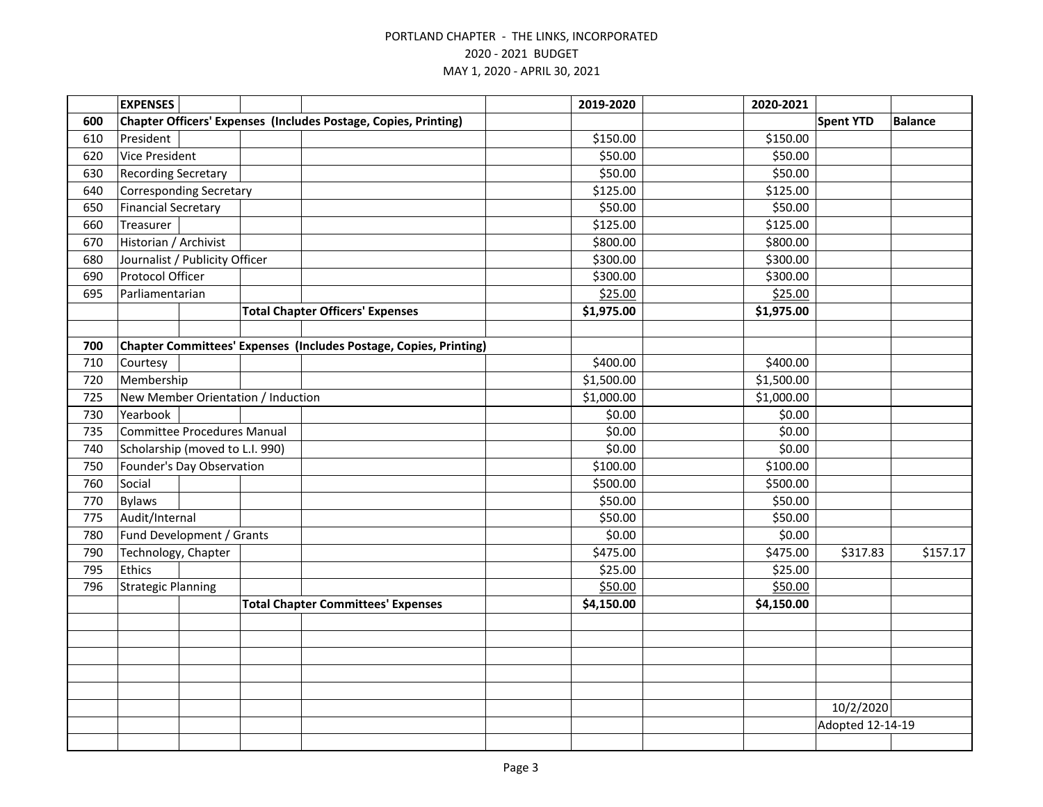|     | <b>EXPENSES</b>                                                 |                                                                   |  | 2019-2020  | 2020-2021        |                  |                |
|-----|-----------------------------------------------------------------|-------------------------------------------------------------------|--|------------|------------------|------------------|----------------|
| 600 | Chapter Officers' Expenses (Includes Postage, Copies, Printing) |                                                                   |  |            |                  | <b>Spent YTD</b> | <b>Balance</b> |
| 610 | President                                                       |                                                                   |  | \$150.00   | \$150.00         |                  |                |
| 620 | Vice President                                                  |                                                                   |  | \$50.00    | \$50.00          |                  |                |
| 630 | <b>Recording Secretary</b>                                      |                                                                   |  | \$50.00    | \$50.00          |                  |                |
| 640 | <b>Corresponding Secretary</b>                                  |                                                                   |  | \$125.00   | \$125.00         |                  |                |
| 650 | <b>Financial Secretary</b>                                      |                                                                   |  | \$50.00    | \$50.00          |                  |                |
| 660 | Treasurer                                                       |                                                                   |  | \$125.00   | \$125.00         |                  |                |
| 670 | Historian / Archivist                                           |                                                                   |  | \$800.00   | \$800.00         |                  |                |
| 680 | Journalist / Publicity Officer                                  |                                                                   |  | \$300.00   | \$300.00         |                  |                |
| 690 | Protocol Officer                                                |                                                                   |  | \$300.00   | \$300.00         |                  |                |
| 695 | Parliamentarian                                                 |                                                                   |  | \$25.00    | \$25.00          |                  |                |
|     |                                                                 | <b>Total Chapter Officers' Expenses</b>                           |  | \$1,975.00 | \$1,975.00       |                  |                |
|     |                                                                 |                                                                   |  |            |                  |                  |                |
| 700 |                                                                 | Chapter Committees' Expenses (Includes Postage, Copies, Printing) |  |            |                  |                  |                |
| 710 | Courtesy                                                        |                                                                   |  | \$400.00   | \$400.00         |                  |                |
| 720 | Membership                                                      |                                                                   |  | \$1,500.00 | \$1,500.00       |                  |                |
| 725 | New Member Orientation / Induction                              |                                                                   |  | \$1,000.00 | \$1,000.00       |                  |                |
| 730 | Yearbook                                                        |                                                                   |  | \$0.00     | \$0.00           |                  |                |
| 735 | <b>Committee Procedures Manual</b>                              |                                                                   |  | \$0.00     | \$0.00           |                  |                |
| 740 | Scholarship (moved to L.I. 990)                                 |                                                                   |  | \$0.00     | \$0.00           |                  |                |
| 750 | Founder's Day Observation                                       |                                                                   |  | \$100.00   | \$100.00         |                  |                |
| 760 | Social                                                          |                                                                   |  | \$500.00   | \$500.00         |                  |                |
| 770 | <b>Bylaws</b>                                                   |                                                                   |  | \$50.00    | \$50.00          |                  |                |
| 775 | Audit/Internal                                                  |                                                                   |  | \$50.00    | \$50.00          |                  |                |
| 780 | Fund Development / Grants                                       |                                                                   |  | \$0.00     | \$0.00           |                  |                |
| 790 | Technology, Chapter                                             |                                                                   |  | \$475.00   | \$475.00         | \$317.83         | \$157.17       |
| 795 | Ethics                                                          |                                                                   |  | \$25.00    | \$25.00          |                  |                |
| 796 | <b>Strategic Planning</b>                                       |                                                                   |  | \$50.00    | \$50.00          |                  |                |
|     |                                                                 | <b>Total Chapter Committees' Expenses</b>                         |  | \$4,150.00 | \$4,150.00       |                  |                |
|     |                                                                 |                                                                   |  |            |                  |                  |                |
|     |                                                                 |                                                                   |  |            |                  |                  |                |
|     |                                                                 |                                                                   |  |            |                  |                  |                |
|     |                                                                 |                                                                   |  |            |                  |                  |                |
|     |                                                                 |                                                                   |  |            |                  |                  |                |
|     |                                                                 |                                                                   |  |            |                  | 10/2/2020        |                |
|     |                                                                 |                                                                   |  |            | Adopted 12-14-19 |                  |                |
|     |                                                                 |                                                                   |  |            |                  |                  |                |